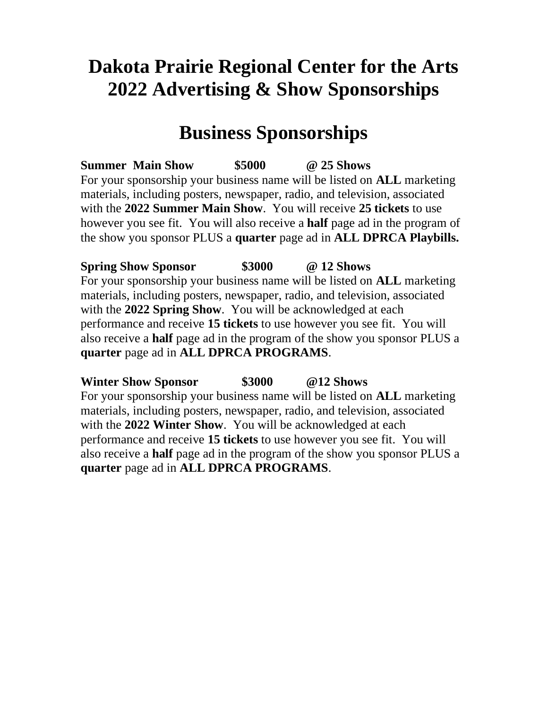# **Dakota Prairie Regional Center for the Arts 2022 Advertising & Show Sponsorships**

# **Business Sponsorships**

**Summer Main Show \$5000 @ 25 Shows** For your sponsorship your business name will be listed on **ALL** marketing materials, including posters, newspaper, radio, and television, associated with the **2022 Summer Main Show**. You will receive **25 tickets** to use however you see fit. You will also receive a **half** page ad in the program of the show you sponsor PLUS a **quarter** page ad in **ALL DPRCA Playbills.**

**Spring Show Sponsor \$3000 @ 12 Shows** For your sponsorship your business name will be listed on **ALL** marketing materials, including posters, newspaper, radio, and television, associated with the **2022 Spring Show**. You will be acknowledged at each performance and receive **15 tickets** to use however you see fit. You will also receive a **half** page ad in the program of the show you sponsor PLUS a **quarter** page ad in **ALL DPRCA PROGRAMS**.

**Winter Show Sponsor \$3000 @12 Shows** For your sponsorship your business name will be listed on **ALL** marketing materials, including posters, newspaper, radio, and television, associated with the **2022 Winter Show**. You will be acknowledged at each performance and receive **15 tickets** to use however you see fit. You will also receive a **half** page ad in the program of the show you sponsor PLUS a **quarter** page ad in **ALL DPRCA PROGRAMS**.